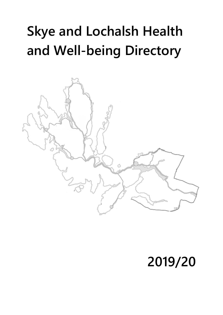# **Skye and Lochalsh Health and Well-being Directory**



## **2019/20**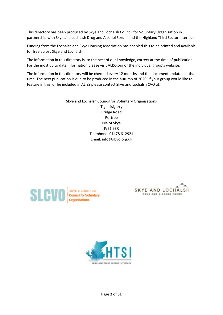This directory has been produced by Skye and Lochalsh Council for Voluntary Organisation in partnership with Skye and Lochalsh Drug and Alcohol Forum and the Highland Third Sector Interface.

Funding from the Lochalsh and Skye Housing Association has enabled this to be printed and available for free across Skye and Lochalsh.

The information in this directory is, to the best of our knowledge, correct at the time of publication. For the most up to date information please visit ALISS.org or the individual group's website.

The information in this directory will be checked every 12 months and the document updated at that time. The next publication is due to be produced in the autumn of 2020, if your group would like to feature in this, or be included in ALISS please contact Skye and Lochalsh CVO at:

> Skye and Lochalsh Council for Voluntary Organisations Tigh Lisigarry Bridge Road Portree Isle of Skye IV51 9ER Telephone: 01478 612921 Email: info@slcvo.org.uk





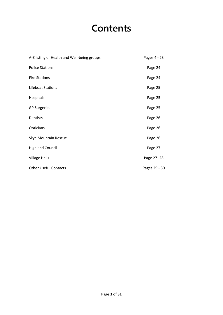### **Contents**

| A-Z listing of Health and Well-being groups | Pages 4 - 23  |
|---------------------------------------------|---------------|
| <b>Police Stations</b>                      | Page 24       |
| <b>Fire Stations</b>                        | Page 24       |
| Lifeboat Stations                           | Page 25       |
| Hospitals                                   | Page 25       |
| <b>GP Surgeries</b>                         | Page 25       |
| Dentists                                    | Page 26       |
| Opticians                                   | Page 26       |
| Skye Mountain Rescue                        | Page 26       |
| <b>Highland Council</b>                     | Page 27       |
| <b>Village Halls</b>                        | Page 27 - 28  |
| <b>Other Useful Contacts</b>                | Pages 29 - 30 |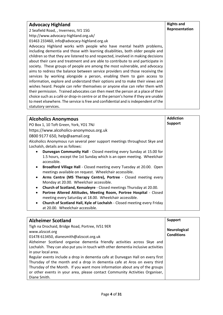| <b>Advocacy Highland</b>                                                           | <b>Rights and</b> |
|------------------------------------------------------------------------------------|-------------------|
| 2 Seafield Road, , Inverness, IV1 1SG                                              | Representation    |
| http://www.advocacy-highland.org.uk/                                               |                   |
| 01463 233460, info@advocacy-highland.org.uk                                        |                   |
| Advocacy Highland works with people who have mental health problems,               |                   |
| including dementia and those with learning disabilities, both older people and     |                   |
| children so that they are listened to and respected, involved in making decisions  |                   |
| about their care and treatment and are able to contribute to and participate in    |                   |
| society. These groups of people are among the most vulnerable, and advocacy        |                   |
| aims to redress the balance between service providers and those receiving the      |                   |
| services by working alongside a person, enabling them to gain access to            |                   |
| information, explore and understand their options and to make their views and      |                   |
| wishes heard. People can refer themselves or anyone else can refer them with       |                   |
| their permission. Trained advocates can then meet the person at a place of their   |                   |
| choice such as a café or drop-in centre or at the person's home if they are unable |                   |
| to meet elsewhere. The service is free and confidential and is independent of the  |                   |
| statutory services.                                                                |                   |

| <b>Alcoholics Anonymous</b>                                                            | <b>Addiction</b> |
|----------------------------------------------------------------------------------------|------------------|
| PO Box 1, 10 Toft Green, York, YO1 7NJ                                                 | <b>Support</b>   |
| https://www.alcoholics-anonymous.org.uk                                                |                  |
| 0800 9177 650, help@aamail.org                                                         |                  |
| Alcoholics Anonymous run several peer support meetings throughout Skye and             |                  |
| Lochalsh, details are as follows:                                                      |                  |
| <b>Dunvegan Community Hall</b> - Closed meeting every Sunday at 15.00 for<br>$\bullet$ |                  |
| 1.5 hours, except the 1st Sunday which is an open meeting. Wheelchair                  |                  |
| accessible.                                                                            |                  |
| Broadford Village Hall - Closed meeting every Tuesday at 20.00. Open<br>$\bullet$      |                  |
| meetings available on request. Wheelchair accessible.                                  |                  |
| Arms Centre (MS Therapy Centre), Portree - Closed meeting every<br>$\bullet$           |                  |
| Monday at 20.00. Wheelchair accessible.                                                |                  |
| Church of Scotland, Kensaleyre - Closed meetings Thursday at 20.00.<br>$\bullet$       |                  |
| Portree Altered Attitudes, Meeting Room, Portree Hospital - Closed<br>$\bullet$        |                  |
| meeting every Saturday at 18.00. Wheelchair accessible.                                |                  |
| Church of Scotland Hall, Kyle of Lochalsh - Closed meeting every Friday<br>$\bullet$   |                  |
| at 20.00. Wheelchair accessible.                                                       |                  |

| <b>Alzheimer Scotland</b>                                                                                                                                                                                                                                                                                                                                                                                                                                                                                                                                                                                                                           | <b>Support</b>                           |
|-----------------------------------------------------------------------------------------------------------------------------------------------------------------------------------------------------------------------------------------------------------------------------------------------------------------------------------------------------------------------------------------------------------------------------------------------------------------------------------------------------------------------------------------------------------------------------------------------------------------------------------------------------|------------------------------------------|
| Tigh na Drochaid, Bridge Road, Portree, IV51 9ER<br>www.alzscot.org<br>01478 613450, dianesmith@alzscot.org.uk<br>Alzheimer Scotland organise dementia friendly activities across Skye and<br>Lochalsh. They can also put you in touch with other dementia inclusive activities<br>in your local area.<br>Regular events include a drop in dementia cafe at Dunvegan Hall on every first<br>Thursday of the month and a drop in dementia cafe at Aros on every third<br>Thursday of the Month. If you want more information about any of the groups<br>or other events in your area, please contact Community Activities Organiser,<br>Diane Smith. | <b>Neurological</b><br><b>Conditions</b> |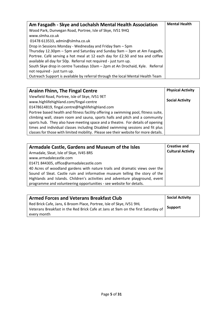| Am Fasgadh - Skye and Lochalsh Mental Health Association                       | <b>Mental Health</b> |
|--------------------------------------------------------------------------------|----------------------|
| Wood Park, Dunvegan Road, Portree, Isle of Skye, IV51 9HQ                      |                      |
| www.slmha.co.uk                                                                |                      |
| 01478 613533, admin@slmha.co.uk                                                |                      |
| Drop in Sessions Monday - Wednesday and Friday 9am - 5pm                       |                      |
| Thursday 12.30pm - 5pm and Saturday and Sunday 9am - 3pm at Am Fasgadh,        |                      |
| Portree. Café serving a hot meal at 12 each day for £2.50 and tea and coffee   |                      |
| available all day for 50p. Referral not required - just turn up.               |                      |
| South Skye drop in centre Tuesdays 10am - 2pm at An Drochaid, Kyle. Referral   |                      |
| not required - just turn up.                                                   |                      |
| Outreach Support is available by referral through the local Mental Health Team |                      |

| <b>Arainn Fhinn, The Fingal Centre</b>                                              | <b>Physical Activity</b> |
|-------------------------------------------------------------------------------------|--------------------------|
| Viewfield Road, Portree, Isle of Skye, IV51 9ET                                     |                          |
| www.highlifehighland.com/fingal-centre                                              | <b>Social Activity</b>   |
| 01478614819, fingal.centre@highlifehighland.com                                     |                          |
| Portree based health and fitness facility offering a swimming pool, fitness suite,  |                          |
| climbing wall, steam room and sauna, sports halls and pitch and a community         |                          |
| sports hub. They also have meeting space and a theatre. For details of opening      |                          |
| times and individual classes including Disabled swimming sessions and fit plus      |                          |
| classes for those with limited mobility. Please see their website for more details. |                          |

| Armadale Castle, Gardens and Museum of the Isles                             | <b>Creative and</b><br><b>Cultural Activity</b> |
|------------------------------------------------------------------------------|-------------------------------------------------|
| Armadale, Sleat, Isle of Skye, IV45 8RS                                      |                                                 |
| www.armadalecastle.com                                                       |                                                 |
| 01471 844305, office@armadalecastle.com                                      |                                                 |
| 40 Acres of woodland gardens with nature trails and dramatic views over the  |                                                 |
| Sound of Sleat. Castle ruin and informative museum telling the story of the  |                                                 |
| Highlands and Islands. Children's activities and adventure playground, event |                                                 |
| programme and volunteering opportunities - see website for details.          |                                                 |

| <b>Armed Forces and Veterans Breakfast Club</b>                                                 | <b>Social Activity</b> |
|-------------------------------------------------------------------------------------------------|------------------------|
| Red Brick Cafe, Jans, 6 Broom Place, Portree, Isle of Skye, IV51 9HL                            | <b>Support</b>         |
| Veterans Breakfast in the Red Brick Cafe at Jans at 9am on the first Saturday of<br>every month |                        |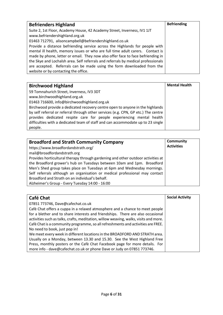| <b>Befrienders Highland</b>                                                       | <b>Befriending</b> |
|-----------------------------------------------------------------------------------|--------------------|
| Suite 2, 1st Floor, Academy House, 42 Academy Street, Inverness, IV1 1JT          |                    |
| www.befriendershighland.org.uk                                                    |                    |
| 01463 712791, alisoncampbell@befriendershighland.co.uk                            |                    |
| Provide a distance befriending service across the Highlands for people with       |                    |
| mental ill health, memory issues or who are full time adult carers. Contact is    |                    |
| made by phone, letter or email. They now also offer face to face befriending in   |                    |
| the Skye and Lochalsh area. Self referrals and referrals by medical professionals |                    |
| are accepted. Referrals can be made using the form downloaded from the            |                    |
| website or by contacting the office.                                              |                    |

| <b>Birchwood Highland</b>                                                          | <b>Mental Health</b> |
|------------------------------------------------------------------------------------|----------------------|
| 59 Tomnahurich Street, Inverness, IV3 3DT                                          |                      |
| www.birchwoodhighland.org.uk                                                       |                      |
| 01463 716600, info@birchwoodhighland.org.uk                                        |                      |
| Birchwood provide a dedicated recovery centre open to anyone in the highlands      |                      |
| by self referral or referral through other services (e.g. CPN, GP etc.) The centre |                      |
| provides dedicated respite care for people experiencing mental health              |                      |
| difficulties with a dedicated team of staff and can accommodate up to 23 single    |                      |
| people.                                                                            |                      |

| <b>Broadford and Strath Community Company</b>                                    | <b>Community</b>  |
|----------------------------------------------------------------------------------|-------------------|
| https://www.broadfordandstrath.org/                                              | <b>Activities</b> |
| mail@broadfordandstrath.org                                                      |                   |
| Provides horticultural therapy through gardening and other outdoor activities at |                   |
| the Broadford grower's hub on Tuesdays between 10am and 1pm. Broadford           |                   |
| Men's Shed group takes place on Tuesdays at 6pm and Wednesday mornings.          |                   |
| Self referrals although an organisation or medical professional may contact      |                   |
| Broadford and Strath on an individual's behalf.                                  |                   |
| Alzheimer's Group - Every Tuesday 14:00 - 16:00                                  |                   |

| Café Chat                                                                             | <b>Social Activity</b> |
|---------------------------------------------------------------------------------------|------------------------|
| 07851 773746, Dave@cafechat.co.uk                                                     |                        |
| Cafè Chat offers a cuppa in a relaxed atmosphere and a chance to meet people          |                        |
| for a blether and to share interests and friendships. There are also occasional       |                        |
| activities such as talks, crafts, meditation, willow weaving, walks, visits and more. |                        |
| Cafè Chat is a community programme, so all refreshments and activities are FREE.      |                        |
| No need to book, just pop in!                                                         |                        |
| We meet every week in different locations in the BROADFORD AND STRATH area.           |                        |
| Usually on a Monday, between 13.30 and 15.30. See the West Highland Free              |                        |
| Press, monthly posters or the Cafè Chat Facebook page for more details. For           |                        |
| more info - dave@cafechat.co.uk or phone Dave or Judy on 07851 773746.                |                        |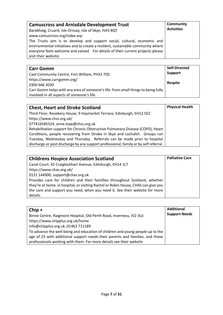| <b>Camuscross and Arnisdale Development Trust</b><br>Barabhaig, Cruard, Isle Ornsay, Isle of Skye, IV43 8QT<br>www.camuscross.org/index.asp<br>The Trusts aim is to develop and support social, cultural, economic and<br>environmental initiatives and to create a resilient, sustainable community where<br>everyone feels welcome and valued For details of their current projects please<br>visit their website. | Community<br><b>Activities</b> |
|----------------------------------------------------------------------------------------------------------------------------------------------------------------------------------------------------------------------------------------------------------------------------------------------------------------------------------------------------------------------------------------------------------------------|--------------------------------|
|----------------------------------------------------------------------------------------------------------------------------------------------------------------------------------------------------------------------------------------------------------------------------------------------------------------------------------------------------------------------------------------------------------------------|--------------------------------|

| <b>Carr Gomm</b>                                                                  | <b>Self-Directed</b> |
|-----------------------------------------------------------------------------------|----------------------|
| Caol Community Centre, Fort William, PH33 7DS                                     | Support              |
| https://www.carrgomm.org/                                                         | <b>Respite</b>       |
| 0300 666 3030                                                                     |                      |
| Carr Gomm helps with any area of someone's life: from small things to being fully |                      |
| involved in all aspects of someone's life.                                        |                      |

| <b>Chest, Heart and Stroke Scotland</b>                                              | <b>Physical Health</b> |
|--------------------------------------------------------------------------------------|------------------------|
| Third Floor, Rosebery House, 9 Haymarket Terrace, Edinburgh, EH12 5EZ                |                        |
| https://www.chss.org.uk/                                                             |                        |
| 077416585524, anne.toye@chss.org.uk                                                  |                        |
| Rehabilitation support for Chronic Obstructive Pulmonary Disease (COPD), Heart       |                        |
| Conditions, people recovering from Stroke in Skye and Lochalsh. Groups run           |                        |
| Tuesday, Wednesday and Thursday. Referrals can be made prior to hospital             |                        |
| discharge or post discharge by any support professional, family or by self referral. |                        |

| <b>Childrens Hospice Association Scotland</b>                                      | <b>Palliative Care</b> |
|------------------------------------------------------------------------------------|------------------------|
| Canal Court, 42 Craiglockhart Avenue, Edinburgh, EH14 1LT                          |                        |
| https://www.chas.org.uk/                                                           |                        |
| 0131 144900, support@chas.org.uk                                                   |                        |
| Provides care for children and their famillies throughout Scotland, whether        |                        |
| they're at home, in hospital, or visiting Rachel or Robin House, CHAS can give you |                        |
| the care and support you need, when you need it. See their website for more        |                        |
| details.                                                                           |                        |

| $Chip +$                                                                       | <b>Additional</b>    |
|--------------------------------------------------------------------------------|----------------------|
| Birnie Centre, Raigmore Hospital, Old Perth Road, Inverness, IV2 3UJ           | <b>Support Needs</b> |
| https://www.chipplus.org.uk/home                                               |                      |
| info@chipplus.org.uk, 01463 711189                                             |                      |
| To advance the well-being and education of children and young people up to the |                      |
| age of 25 with additional support needs their parents and families, and those  |                      |
| professionals working with them. For more details see their website            |                      |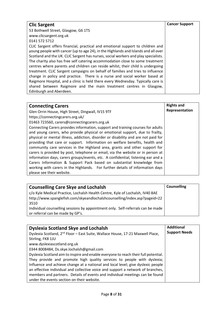| <b>Clic Sargent</b>                                                                | <b>Cancer Support</b> |
|------------------------------------------------------------------------------------|-----------------------|
| 53 Bothwell Street, Glasgow, G6 1TS                                                |                       |
| www.clicsargent.org.uk                                                             |                       |
| 0141 572 5712                                                                      |                       |
| CLIC Sargent offers financial, practical and emotional support to children and     |                       |
| young people with cancer (up to age 24), in the Highlands and Islands and all over |                       |
| Scotland and the UK. CLIC Sargent has nurses, social workers and play specialists. |                       |
| The charity also has free self catering accommodation close to some treatment      |                       |
| centres where parents and children can reside whilst, their child is undergoing    |                       |
| treatment. CLIC Sargent campaigns on behalf of families and tries to influence     |                       |
| change in policy and practice. There is a nurse and social worker based at         |                       |
| Raigmore Hospital, and a clinic is held there every Wednesday. Typically care is   |                       |
| shared between Raigmore and the main treatment centres in Glasgow,                 |                       |
| Edinburgh and Aberdeen.                                                            |                       |

| <b>Connecting Carers</b>                                                           | <b>Rights and</b> |
|------------------------------------------------------------------------------------|-------------------|
| Glen Orrin House, High Street, Dingwall, IV15 9TF                                  | Representation    |
| https://connectingcarers.org.uk/                                                   |                   |
| 01463 723560, carers@connectingcarers.org.uk                                       |                   |
| Connecting Carers provides information, support and training courses for adults    |                   |
| and young carers, who provide physical or emotional support, due to frailty,       |                   |
| physical or mental illness, addiction, disorder or disability and are not paid for |                   |
| providing that care or support. Information on welfare benefits, health and        |                   |
| community care services in the Highland area, grants and other support for         |                   |
| carers is provided by post, telephone or email, via the website or in person at    |                   |
| information days, carers groups/events, etc. A confidential, listening ear and a   |                   |
| Carers Information & Support Pack based on substantial knowledge from              |                   |
| working with carers in the Highlands. For further details of information days      |                   |
| please see their website.                                                          |                   |

| <b>Counselling Care Skye and Lochalsh</b>                                               | <b>Counselling</b> |
|-----------------------------------------------------------------------------------------|--------------------|
| c/o Kyle Medical Practice, Lochalsh Health Centre, Kyle of Lochalsh, IV40 8AE           |                    |
| http://www.spanglefish.com/skyeandlochalshcounselling/index.asp?pageid=22               |                    |
| 3510<br>Individual counselling sessions by appointment only. Self-referrals can be made |                    |
| or referral can be made by GP's.                                                        |                    |

| <b>Dyslexia Scotland Skye and Lochalsh</b>                                                 | <b>Additional</b>    |
|--------------------------------------------------------------------------------------------|----------------------|
| Dyslexia Scotland, 2 <sup>nd</sup> Floor - East Suite, Wallace House, 17-21 Maxwell Place, | <b>Support Needs</b> |
| Stirling, FK8 1JU                                                                          |                      |
| www.dyslexiascotland.org.uk                                                                |                      |
| 0344 8008484, Ds.skye.lochalsh@gmail.com                                                   |                      |
| Dyslexia Scotland aim to inspire and enable everyone to reach their full potential.        |                      |
| They provide and promote high quality services to people with dyslexia;                    |                      |
| Influence and achieve change at a national and local level; give dyslexic people           |                      |
| an effective individual and collective voice and support a network of branches,            |                      |
| members and partners. Details of events and individual meetings can be found               |                      |
| under the events section on their website.                                                 |                      |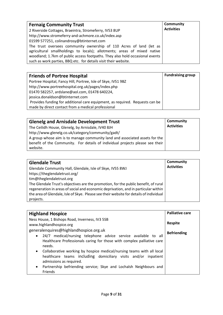| <b>Fernaig Community Trust</b>                                               | Community         |
|------------------------------------------------------------------------------|-------------------|
| 2 Riverside Cottages, Braeintra, Stromeferry, IV53 8UP                       | <b>Activities</b> |
| http://www.stromeferry-and-achmore.co.uk/index.asp                           |                   |
| 01599 577251, colinandrosy@btinternet.com                                    |                   |
| The trust oversees community ownership of 110 Acres of land (let as          |                   |
| agricultural smallholdings to locals); allotments; areas of mixed native     |                   |
| woodland; 1.7km of public access footpaths. They also hold occasional events |                   |
| such as work parties, BBQ etc. for details visit their website.              |                   |

| <b>Friends of Portree Hospital</b>                                           | <b>Fundraising group</b> |
|------------------------------------------------------------------------------|--------------------------|
| Portree Hospital, Fancy Hill, Portree, Isle of Skye, IV51 9BZ                |                          |
| http://www.portreehospital.org.uk/pages/index.php                            |                          |
| 01470 582257, ardslane@aol.com, 01478 640224,                                |                          |
| jessica.donaldson@btinternet.com                                             |                          |
| Provides funding for additional care equipment, as required. Requests can be |                          |
| made by direct contact from a medical professional                           |                          |

| <b>Glenelg and Arnisdale Development Trust</b>                                                                                                                                                                                | <b>Community</b>  |
|-------------------------------------------------------------------------------------------------------------------------------------------------------------------------------------------------------------------------------|-------------------|
| The Ceilidh House, Glenelg, by Arnisdale, IV40 8JH                                                                                                                                                                            | <b>Activities</b> |
| http://www.glenelg.co.uk/category/community/gadt/<br>A group whose aim is to manage community land and associated assets for the<br>benefit of the Community. For details of individual projects please see their<br>website. |                   |

| <b>Glendale Trust</b><br>Glendale Community Hall, Glendale, Isle of Skye, IV55 8WJ<br>https://theglendaletrust.org/<br>tim@theglendaletrust.org<br>The Glendale Trust's objectives are the promotion, for the public benefit, of rural<br>regeneration in areas of social and economic deprivation, and in particular within<br>the area of Glendale, Isle of Skye. Please see their website for details of individual<br>projects. | <b>Community</b><br><b>Activities</b> |
|-------------------------------------------------------------------------------------------------------------------------------------------------------------------------------------------------------------------------------------------------------------------------------------------------------------------------------------------------------------------------------------------------------------------------------------|---------------------------------------|
|-------------------------------------------------------------------------------------------------------------------------------------------------------------------------------------------------------------------------------------------------------------------------------------------------------------------------------------------------------------------------------------------------------------------------------------|---------------------------------------|

| <b>Highland Hospice</b>                                                                                                                                                         | <b>Palliative care</b> |
|---------------------------------------------------------------------------------------------------------------------------------------------------------------------------------|------------------------|
| Ness House, 1 Bishops Road, Inverness, IV3 5SB<br>www.highlandhospice.org                                                                                                       | <b>Respite</b>         |
| generalenquires@highlandhospice.org.uk                                                                                                                                          | <b>Befriending</b>     |
| 24/7 medical/nursing telephone advice service available to all<br>$\bullet$<br>Healthcare Professionals caring for those with complex palliative care<br>needs.                 |                        |
| Collaborative working by hospice medical/nursing teams with all local<br>$\bullet$<br>healthcare teams including domiciliary visits and/or inpatient<br>admissions as required. |                        |
| Partnership befriending service; Skye and Lochalsh Neighbours and<br>$\bullet$<br>Friends                                                                                       |                        |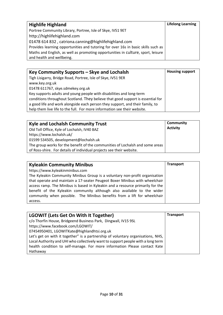| <b>Highlife Highland</b>                                                          | <b>Lifelong Learning</b> |
|-----------------------------------------------------------------------------------|--------------------------|
| Portree Community Library, Portree, Isle of Skye, IV51 9ET                        |                          |
| http://highlifehighland.com                                                       |                          |
| 01478 614 832, catriona.canning@highlifehighland.com                              |                          |
| Provides learning opportunities and tutoring for over 16s in basic skills such as |                          |
| Maths and English, as well as promoting opportunities in culture, sport, leisure  |                          |
| and health and wellbeing.                                                         |                          |

| Key Community Supports – Skye and Lochalsh                                      | <b>Housing support</b> |
|---------------------------------------------------------------------------------|------------------------|
| Tigh Lisigarry, Bridge Road, Portree, Isle of Skye, IV51 9ER                    |                        |
| www.key.org.uk                                                                  |                        |
| 01478 611767, skye.sdmekey.org.uk                                               |                        |
| Key supports adults and young people with disabilities and long-term            |                        |
| conditions throughout Scotland. They believe that good support is essential for |                        |
| a good life and work alongside each person they support, and their family, to   |                        |
| help them live life to the full. For more information see their website.        |                        |

| <b>Kyle and Lochalsh Community Trust</b><br>Old Toll Office, Kyle of Lochalsh, IV40 8AZ | Community<br><b>Activity</b> |
|-----------------------------------------------------------------------------------------|------------------------------|
| https://www.lochalsh.uk/                                                                |                              |
| 01599 534505, development@lochalsh.uk                                                   |                              |
| The group works for the benefit of the communities of Lochalsh and some areas           |                              |
| of Ross-shire. For details of individual projects see their website.                    |                              |

| <b>Kyleakin Community Minibus</b>                                              | <b>Transport</b> |
|--------------------------------------------------------------------------------|------------------|
| https://www.kyleakinminibus.com                                                |                  |
| The Kyleakin Community Minibus Group is a voluntary non-profit organisation    |                  |
| that operate and maintain a 17-seater Peugeot Boxer Minibus with wheelchair    |                  |
| access ramp. The Minibus is based in Kyleakin and a resource primarily for the |                  |
| benefit of the Kyleakin community although also available to the wider         |                  |
| community when possible. The Minibus benefits from a lift for wheelchair       |                  |
| access.                                                                        |                  |

| <b>LGOWIT (Lets Get On With It Together)</b>                                     | <b>Transport</b> |
|----------------------------------------------------------------------------------|------------------|
| c/o Thorfin House, Bridgeend Business Park, Dingwall, IV15 9SL                   |                  |
| https://www.facebook.com/LGOWIT/                                                 |                  |
| 07454950401, LGOWITKate@highlandhtsi.org.uk                                      |                  |
| Let's get on with it together" is a partnership of voluntary organisations, NHS, |                  |
| Local Authority and UHI who collectively want to support people with a long term |                  |
| health condition to self-manage. For more information Please contact Kate        |                  |
| Hathaway                                                                         |                  |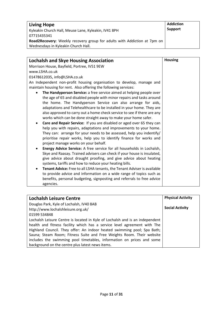| <b>Living Hope</b>                                                       | <b>Addiction</b> |
|--------------------------------------------------------------------------|------------------|
| Kyleakin Church Hall, Meuse Lane, Kyleakin, IV41 8PH                     | <b>Support</b>   |
| 07715435341                                                              |                  |
| Road2Recovery: Weekly recovery group for adults with Addiction at 7pm on |                  |
| Wednesdays in Kyleakin Church Hall.                                      |                  |
|                                                                          |                  |

| <b>Lochalsh and Skye Housing Association</b>                                                                                                                                                                                                                                                                                                                                                                                                                                                                                                                                                                                                                                                                                                                                                                                                           | <b>Housing</b> |
|--------------------------------------------------------------------------------------------------------------------------------------------------------------------------------------------------------------------------------------------------------------------------------------------------------------------------------------------------------------------------------------------------------------------------------------------------------------------------------------------------------------------------------------------------------------------------------------------------------------------------------------------------------------------------------------------------------------------------------------------------------------------------------------------------------------------------------------------------------|----------------|
| Morrison House, Bayfield, Portree, IV51 9EW                                                                                                                                                                                                                                                                                                                                                                                                                                                                                                                                                                                                                                                                                                                                                                                                            |                |
| www.LSHA.co.uk                                                                                                                                                                                                                                                                                                                                                                                                                                                                                                                                                                                                                                                                                                                                                                                                                                         |                |
| 01478612035, info@LSHA.co.uk                                                                                                                                                                                                                                                                                                                                                                                                                                                                                                                                                                                                                                                                                                                                                                                                                           |                |
| An Independent non-profit housing organisation to develop, manage and                                                                                                                                                                                                                                                                                                                                                                                                                                                                                                                                                                                                                                                                                                                                                                                  |                |
| maintain housing for rent. Also offering the following services:                                                                                                                                                                                                                                                                                                                                                                                                                                                                                                                                                                                                                                                                                                                                                                                       |                |
| The Handyperson Service: a free service aimed at helping people over<br>the age of 65 and disabled people with minor repairs and tasks around<br>the home. The Handyperson Service can also arrange for aids,<br>adaptations and Telehealthcare to be installed in your home. They are<br>also approved to carry out a home check service to see if there are any<br>works which can be done straight away to make your home safer.<br>Care and Repair Service: If you are disabled or aged over 65 they can<br>٠<br>help you with repairs, adaptations and improvements to your home.<br>They can: arrange for your needs to be assessed, help you indentify/<br>prioritise repair works, help you to identify finance for works and<br>project manage works on your behalf.<br>Energy Advice Service: A free service for all households in Lochalsh, |                |
| Skye and Raasay. Trained advisers can check if your house is insulated,<br>give advice about draught proofing, and give advice about heating<br>systems, tariffs and how to reduce your heating bills.                                                                                                                                                                                                                                                                                                                                                                                                                                                                                                                                                                                                                                                 |                |
| Tenant Advice: Free to all LSHA tenants, the Tenant Adviser is available<br>$\bullet$                                                                                                                                                                                                                                                                                                                                                                                                                                                                                                                                                                                                                                                                                                                                                                  |                |
| to provide advice and information on a wide range of topics such as<br>benefits, personal budgeting, signposting and referrals to free advice<br>agencies.                                                                                                                                                                                                                                                                                                                                                                                                                                                                                                                                                                                                                                                                                             |                |

| <b>Lochalsh Leisure Centre</b>                                               | <b>Physical Activity</b> |
|------------------------------------------------------------------------------|--------------------------|
| Douglas Park, Kyle of Lochalsh, IV40 8AB                                     |                          |
| http://www.lochalshleisure.org.uk/                                           | <b>Social Activity</b>   |
| 01599 534848                                                                 |                          |
| Lochalsh Leisure Centre is located in Kyle of Lochalsh and is an independent |                          |
| health and fitness facility which has a service level agreement with The     |                          |
| Highland Council. They offer: An indoor heated swimming pool; Spa Bath;      |                          |
| Sauna; Steam Room; Fitness Suite and Free Weights Room. Their website        |                          |
| includes the swimming pool timetables, information on prices and some        |                          |
| background on the centre plus latest news items.                             |                          |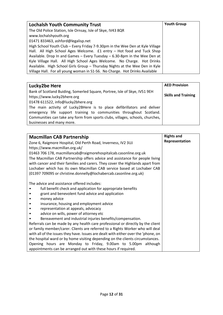| <b>Lochalsh Youth Community Trust</b>                                         | <b>Youth Group</b> |
|-------------------------------------------------------------------------------|--------------------|
| The Old Police Station, Isle Ornsay, Isle of Skye, IV43 8QR                   |                    |
| www.lochalshyouth.org                                                         |                    |
| 01471 833463, ashford@legalisp.net                                            |                    |
| High School Youth Club - Every Friday 7-9.30pm in the Wee Den at Kyle Village |                    |
| Hall. All High School Ages Welcome. £1 entry - Hot food and Tuck Shop         |                    |
| Available. Drop In and Games - Every Tuesday - 6.30-8pm in the Wee Den at     |                    |
| Kyle Village Hall. All High School Ages Welcome. No Charge. Hot Drinks        |                    |
| Available. High School Girls Group - Thursday Nights at the Wee Den in Kyle   |                    |
| Village Hall. For all young woman in S1-S6. No Charge. Hot Drinks Available   |                    |

| Lucky2be Here                                                                                                                                                                                                                   | <b>AED Provision</b>       |
|---------------------------------------------------------------------------------------------------------------------------------------------------------------------------------------------------------------------------------|----------------------------|
| Bank of Scotland Buiding, Somerled Square, Portree, Isle of Skye, IV51 9EH<br>https://www.lucky2bhere.org<br>01478 611522, info@lucky2bhere.org                                                                                 | <b>Skills and Training</b> |
| The main activity of Lucky2BHere is to place defibrillators and deliver<br>emergency life support training to communities throughout Scotland.<br>Communities can take any form from sports clubs, villages, schools, churches, |                            |
| businesses and many more.                                                                                                                                                                                                       |                            |

|                                                                                    | <b>Rights and</b> |
|------------------------------------------------------------------------------------|-------------------|
| <b>Macmillan CAB Partnership</b>                                                   |                   |
| Zone 6, Raigmore Hospital, Old Perth Road, Inverness, IV2 3UJ                      | Representation    |
| https://www.macmillan.org.uk/                                                      |                   |
| 01463 706 178, macmillancab@raigmorehospitalcab.casonline.org.uk                   |                   |
| The Macmillan CAB Partnership offers advice and assistance for people living       |                   |
| with cancer and their families and carers. They cover the Highlands apart from     |                   |
| Lochaber which has its own Macmillan CAB service based at Lochaber CAB             |                   |
|                                                                                    |                   |
| (01397 709095 or christine.donnelly@lochabercab.casonline.org.uk)                  |                   |
|                                                                                    |                   |
| The advice and assistance offered includes:                                        |                   |
| full benefit check and application for appropriate benefits                        |                   |
| grant and benevolent fund advice and application                                   |                   |
| money advice                                                                       |                   |
| insurance, housing and employment advice                                           |                   |
| representation at appeals, advocacy                                                |                   |
| advice on wills, power of attorney etc                                             |                   |
| Bereavement and industrial injuries benefits/compensation.                         |                   |
| Referrals can be made by any health care professional or directly by the client    |                   |
| or family member/carer. Clients are referred to a Rights Worker who will deal      |                   |
| with all of the issues they have. Issues are dealt with either over the 'phone, on |                   |
| the hospital ward or by home visiting depending on the clients circumstances.      |                   |
| Opening hours are Monday to Friday, 9.00am to 5.00pm although                      |                   |
|                                                                                    |                   |
| appointments can be arranged out with these hours if required.                     |                   |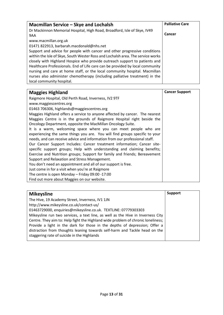| Macmillan Service - Skye and Lochalsh                                           | <b>Palliative Care</b> |
|---------------------------------------------------------------------------------|------------------------|
| Dr Mackinnon Memorial Hospital, High Road, Broadford, Isle of Skye, IV49        |                        |
| 9AA                                                                             | Cancer                 |
| www.macmillan.org.uk                                                            |                        |
| 01471 822913, barbarah.macdonald@nhs.net                                        |                        |
| Support and advice for people with cancer and other progressive conditions      |                        |
| within the Isle of Skye, South Wester Ross and Lochalsh area. The service works |                        |
| closely with Highland Hospice who provide outreach support to patients and      |                        |
| Healthcare Professionals. End of Life care can be provided by local community   |                        |
| nursing and care at home staff, or the local community hospital. Macmillan      |                        |
| nurses also administer chemotherapy (including palliative treatment) in the     |                        |
| local community hospital.                                                       |                        |

| <b>Maggies Highland</b>                                                     | <b>Cancer Support</b> |
|-----------------------------------------------------------------------------|-----------------------|
| Raigmore Hospital, Old Perth Road, Inverness, IV2 9TF                       |                       |
| www.maggiescentres.org                                                      |                       |
| 01463 706306, highlands@maggiescentres.org                                  |                       |
| Maggies Highland offers a service to anyone affected by cancer. The nearest |                       |
| Maggies Centre is in the grounds of Raigmore Hospital right beside the      |                       |
| Oncology Department, opposite the MacMillan Oncology Suite.                 |                       |
| It is a warm, welcoming space where you can meet people who are             |                       |
| experiencing the same things you are. You will find groups specific to your |                       |
| needs, and can receive advice and information from our professional staff.  |                       |
| Our Cancer Support Includes: Cancer treatment information; Cancer site-     |                       |
| specific support groups; Help with understanding and claiming benefits;     |                       |
| Exercise and Nutrition groups; Support for family and friends; Bereavement  |                       |
| Support and Relaxation and Stress Management.                               |                       |
| You don't need an appointment and all of our support is free.               |                       |
| Just come in for a visit when you're at Raigmore                            |                       |
| The centre is open Monday - Friday 09:00 -17:00                             |                       |
| Find out more about Maggies on our website.                                 |                       |

| <b>Mikeysline</b>                                                                | <b>Support</b> |
|----------------------------------------------------------------------------------|----------------|
| The Hive, 19 Academy Street, Inverness, IV1 1JN                                  |                |
| http://www.mikeysline.co.uk/contact-us/                                          |                |
| 01463729000, enquiries@mikeysline.co.uk. TEXTLINE: 07779303303                   |                |
| Mikeysline run two services, a text line, as well as the Hive in Inverness City  |                |
| Centre. They aim to: Help fight the Highland wide problem of chronic loneliness; |                |
| Provide a light in the dark for those in the depths of depression; Offer a       |                |
| distraction from thoughts leaning towards self-harm and Tackle head on the       |                |
| staggering rate of suicide in the Highlands                                      |                |
|                                                                                  |                |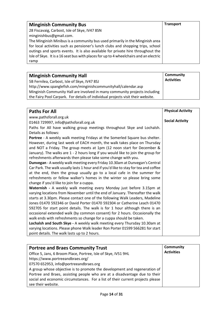| <b>Minginish Community Bus</b>                                                        | <b>Transport</b> |
|---------------------------------------------------------------------------------------|------------------|
| 28 Fiscavaig, Carbost, Isle of Skye, IV47 8SN                                         |                  |
| minginishbus@gmail.com.                                                               |                  |
| The Minginish Minibus is a community bus used primarily in the Minginish area         |                  |
| for local activities such as pensioner's lunch clubs and shopping trips, school       |                  |
| outings and sports events. It is also available for private hire throughout the       |                  |
| Isle of Skye. It is a 16 seat bus with places for up to 4 wheelchairs and an electric |                  |
| ramp                                                                                  |                  |

| <b>Minginish Community Hall</b>                                                 | <b>Community</b>  |
|---------------------------------------------------------------------------------|-------------------|
| 5B Fernilea, Carbost, Isle of Skye, IV47 8SJ                                    | <b>Activities</b> |
| http://www.spanglefish.com/minginishcommunityhall/calendar.asp                  |                   |
| Minginish Community Hall are involved in many community projects including      |                   |
| the Fairy Pool Carpark. For details of individual projects visit their website. |                   |

| <b>Paths For All</b>                                                                 | <b>Physical Activity</b> |
|--------------------------------------------------------------------------------------|--------------------------|
| www.pathsforall.org.uk                                                               |                          |
| 01463 729997, info@pathsforall.org.uk                                                | <b>Social Activity</b>   |
| Paths for All have walking group meetings throughout Skye and Lochalsh.              |                          |
| Details as follows:                                                                  |                          |
| Portree - A weekly walk meeting Fridays at the Somerled Square bus shelter.          |                          |
| However, during last week of EACH month, the walk takes place on Thursday            |                          |
| and NOT a Friday. The group meets at 1pm (12 noon start for December &               |                          |
| January). The walks are 1 - 2 hours long if you would like to join the group for     |                          |
| refreshments afterwards then please take some change with you.                       |                          |
| Dunvegan - A weekly walk meeting every Friday 10.30am at Dunvegan's Central          |                          |
| Car Park. The walk usually lasts 1 hour and if you'd like to stay for tea and coffee |                          |
| at the end, then the group usually go to a local cafe in the summer for              |                          |
| refreshments or fellow walker's homes in the winter so please bring some             |                          |
| change if you'd like to join for a cuppa.                                            |                          |
| Waternish - A weekly walk meeting every Monday just before 3.15pm at                 |                          |
| varying locations from November until the end of January. Thereafter the walk        |                          |
| starts at 3.30pm. Please contact one of the following Walk Leaders, Madeline         |                          |
| Jones 01470 592346 or David Porter 01470 592304 or Catherine Leach 01470             |                          |
| 592705 for start point details. The walk is for 1 hour although there is an          |                          |
| occasional extended walk (by common consent) for 2 hours. Occasionally the           |                          |
| walk ends with refreshments so change for a cuppa should be taken.                   |                          |
| Lochalsh and South Skye - A weekly walk meeting every Thursday 10.30am at            |                          |
| varying locations. Please phone Walk leader Ron Porter 01599 566281 for start        |                          |
| point details. The walk lasts up to 2 hours.                                         |                          |

| <b>Portree and Braes Community Trust</b>                                       | Community         |
|--------------------------------------------------------------------------------|-------------------|
| Office 5, Jans, 6 Broom Place, Portree, Isle of Skye, IV51 9HL                 | <b>Activities</b> |
| https://www.portreeandbraes.org/                                               |                   |
| 07570 652953, info@portreeandbraes.org                                         |                   |
| A group whose objective is to promote the development and regeneration of      |                   |
| Portree and Braes, assisting people who are at a disadvantage due to their     |                   |
| social and economic circumstances. For a list of their current projects please |                   |
| see their website.                                                             |                   |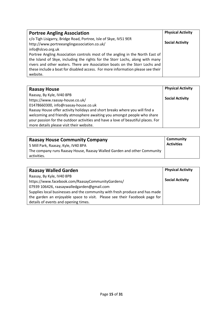| <b>Portree Angling Association</b>                                              | <b>Physical Activity</b> |
|---------------------------------------------------------------------------------|--------------------------|
| c/o Tigh Lisigarry, Bridge Road, Portree, Isle of Skye, IV51 9ER                |                          |
| http://www.portreeanglingassociation.co.uk/                                     | <b>Social Activity</b>   |
| info@slcvo.org.uk                                                               |                          |
| Portree Angling Association controls most of the angling in the North East of   |                          |
| the Island of Skye, including the rights for the Storr Lochs, along with many   |                          |
| rivers and other waters. There are Association boats on the Storr Lochs and     |                          |
| these include a boat for disabled access. For more information please see their |                          |
| website.                                                                        |                          |

| <b>Raasay House</b>                                                              | <b>Physical Activity</b> |
|----------------------------------------------------------------------------------|--------------------------|
| Raasay, By Kyle, IV40 8PB                                                        |                          |
| https://www.raasay-house.co.uk/                                                  | <b>Social Activity</b>   |
| 01478660300, info@raasay-house.co.uk                                             |                          |
| Raasay House offer activity holidays and short breaks where you will find a      |                          |
| welcoming and friendly atmosphere awaiting you amongst people who share          |                          |
| your passion for the outdoor activities and have a love of beautiful places. For |                          |
| more details please visit their website.                                         |                          |

| <b>Raasay House Community Company</b>                                   | <b>Community</b>  |
|-------------------------------------------------------------------------|-------------------|
| 5 Mill Park, Raasay, Kyle, IV40 8PA                                     | <b>Activities</b> |
| The company runs Raasay House, Raasay Walled Garden and other Community |                   |
| activities.                                                             |                   |

| <b>Raasay Walled Garden</b>                                                 | <b>Physical Activity</b> |
|-----------------------------------------------------------------------------|--------------------------|
| Raasay, By Kyle, IV40 8PB                                                   |                          |
| https://www.facebook.com/RaasayCommunityGardens/                            | <b>Social Activity</b>   |
| 07939 106426, raasaywalledgarden@gmail.com                                  |                          |
| Supplies local businesses and the community with fresh produce and has made |                          |
| the garden an enjoyable space to visit. Please see their Facebook page for  |                          |
| details of events and opening times.                                        |                          |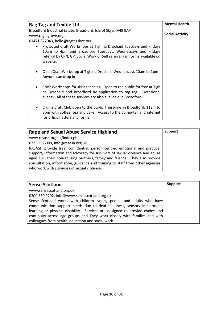| <b>Rag Tag and Textile Ltd</b>                                                                                                                                                                                                          | <b>Mental Health</b>   |
|-----------------------------------------------------------------------------------------------------------------------------------------------------------------------------------------------------------------------------------------|------------------------|
| Broadford Industrial Estate, Broadford, Isle of Skye, IV49 9AP<br>www.ragtagskye.org,                                                                                                                                                   | <b>Social Activity</b> |
| 01471 822043, hello@ragtagskye.org                                                                                                                                                                                                      |                        |
| Protected Craft Workshops at Tigh na Drochaid Tuesdays and Fridays<br>$\bullet$<br>10am to 4pm and Broadford Tuesdays, Wednesdays and Fridays<br>referral by CPN, GP, Social Work or Self referral - all forms available on<br>website. |                        |
| Open Craft Workshop at Tigh na Drochaid Wednesdays 10am to 1pm -<br>Anyone can drop in                                                                                                                                                  |                        |
| Craft Workshops for skills teaching. Open to the public for free at Tigh<br>na Drochaid and Broadford by application to rag tag - Occasional<br>events. All of these services are also available in Broadford.                          |                        |
| Crumz Craft Club open to the public Thursdays in Broadford, 11am to<br>3pm with coffee, tea and cake. Access to the computer and internet<br>for official letters and forms.                                                            |                        |

| <b>Rape and Sexual Abuse Service Highland</b>                                 | <b>Support</b> |
|-------------------------------------------------------------------------------|----------------|
| www.rasash.org.uk/index.php                                                   |                |
| 03330066909, info@rasash.org.uk                                               |                |
| RASASH provide free, confidential, person centred emotional and practical     |                |
| support, information and advocacy for survivors of sexual violence and abuse  |                |
| aged 13+, their non-abusing partners, family and friends. They also provide   |                |
| consultation, information, guidance and training to staff from other agencies |                |
| who work with survivors of sexual violence.                                   |                |

| <b>Sense Scotland</b>                                                        | <b>Support</b> |
|------------------------------------------------------------------------------|----------------|
| www.sensescotland.org.uk                                                     |                |
| 0300 330 9292, info@www.sensescotland.org.uk                                 |                |
| Sense Scotland works with children, young people and adults who have         |                |
| communication support needs due to deaf blindness, sensory impairment,       |                |
| learning or physical disability. Services are designed to provide choice and |                |
| continuity across age groups and They work closely with families and with    |                |
| colleagues from health, education and social work.                           |                |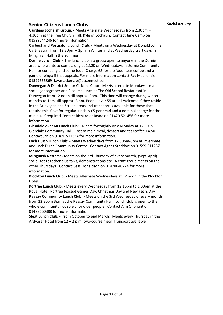| <b>Senior Citizens Lunch Clubs</b>                                               | <b>Social Activity</b> |
|----------------------------------------------------------------------------------|------------------------|
| Cairdeas Lochalsh Group: - Meets Alternate Wednesdays from 2.30pm -              |                        |
| 4.30pm at the Free Church Hall, Kyle of Lochalsh. Contact Jane Camp on           |                        |
| 01599544246 for more information.                                                |                        |
| Carbost and Portnalong Lunch Club: - Meets on a Wednesday at Donald John's       |                        |
| Café, Satran from 12:30pm - 2pm in Winter and at Wednesday craft days in         |                        |
| Minginish Hall in the Summer.                                                    |                        |
| Dornie Lunch Club: - The lunch club is a group open to anyone in the Dornie      |                        |
| area who wants to come along at 12.00 on Wednesdays in Dornie Community          |                        |
| Hall for company and some food. Charge £5 for the food, tea/ coffee and a        |                        |
| game of bingo if that appeals. For more information contact Fay MacKenzie        |                        |
| 01599555369 fay.mackenzie@btconnect.com                                          |                        |
| Dunvegan & District Senior Citizens Club: - Meets alternate Mondays for a        |                        |
| social get together and 2 course lunch at The Old School Restaurant in           |                        |
| Dunvegan from 12 noon till approx. 2pm. This time will change during winter      |                        |
| months to 1pm. till approx. 3 pm. People over 55 are all welcome if they reside  |                        |
| in the Dunvegan and Struan areas and transport is available for those that       |                        |
| require this. Cost for regular lunch is £5 per head and a nominal charge for the |                        |
| minibus if required Contact Richard or Jayne on 01470 521456 for more            |                        |
| information.                                                                     |                        |
| Glendale over 60 Lunch Club: - Meets fortnightly on a Monday at 12:30 in         |                        |
| Glendale Community Hall. Cost of main meal, dessert and tea/coffee £4.50.        |                        |
| Contact Jan on 01470 511324 for more information.                                |                        |
| Loch Duich Lunch Club: - Meets Wednesdays from 12.30pm-3pm at Inverinate         |                        |
| and Loch Duich Community Centre. Contact Agnes Stoddart on 01599 511287          |                        |
| for more information.                                                            |                        |
| Minginish Natters: - Meets on the 3rd Thursday of every month, (Sept-April) -    |                        |
| social get-together plus talks, demonstrations etc. A craft group meets on the   |                        |
| other Thursdays. Contact: Jess Donaldson on 01478640224 for more                 |                        |
| information.                                                                     |                        |
| Plockton Lunch Club: - Meets Alternate Wednesdays at 12 noon in the Plockton     |                        |
| Hotel.                                                                           |                        |
| Portree Lunch Club: - Meets every Wednesday from 12.15pm to 1.30pm at the        |                        |
| Royal Hotel, Portree (except Games Day, Christmas Day and New Years Day)         |                        |
| Raasay Community Lunch Club: - Meets on the 3rd Wednesday of every month         |                        |
| from 12.30pm 3pm at the Raasay Community Hall. Lunch club is open to the         |                        |
| whole community not solely for older people. Contact Ann Oliphant on             |                        |
| 01478660388 for more information.                                                |                        |
| Sleat Lunch Club: - (from October to end March): Meets every Thursday in the     |                        |
| Ardvasar Hotel from 12 - 2 p.m. two-course meal. Transport available.            |                        |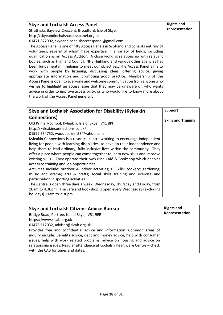| <b>Skye and Lochalsh Access Panel</b>                                               | <b>Rights and</b> |
|-------------------------------------------------------------------------------------|-------------------|
| Strathisla, Bayview Crescent, Broadford, Isle of Skye,                              | representation    |
| http://skyeandlochalshaccesspanel.org.uk                                            |                   |
| 01471 822902, skyeandlochalshaccesspanel@gmail.com                                  |                   |
| The Access Panel is one of fifty Access Panels in Scotland and consists entirely of |                   |
| volunteers, several of whom have expertise in a variety of fields, including        |                   |
| qualification as an Access Auditor. A close working relationship with relevant      |                   |
| bodies, such as Highland Council, NHS Highland and various other agencies has       |                   |
| been fundamental in helping to meet our objectives. The Access Panel aims to        |                   |
| work with people by listening, discussing ideas, offering advice, giving            |                   |
| appropriate information and promoting good practice. Membership of the              |                   |
| Access Panel is open to everyone and welcome communication from anyone who          |                   |
| wishes to highlight an access issue that they may be unaware of, who wants          |                   |
| advice in order to improve accessibility, or who would like to know more about      |                   |
| the work of the Access Panel generally.                                             |                   |

| Skye and Lochalsh Association for Disability (Kyleakin                          | <b>Support</b>             |
|---------------------------------------------------------------------------------|----------------------------|
| Connections)                                                                    |                            |
| Old Primary School, Kyleakin, Isle of Skye, IV41 8PH                            | <b>Skills and Training</b> |
| http://kyleakinconnections.co.uk/                                               |                            |
| 01599 534752, woodpeckers53@yahoo.com                                           |                            |
| Kyleakin Connections is a resource centre working to encourage independent      |                            |
| living for people with learning disabilities, to develop their independence and |                            |
| help them to lead ordinary, fully inclusive lives within the community. They    |                            |
| offer a place where people can come together to learn new skills and improve    |                            |
| existing skills. They operate their own Nice Café & Bookshop which enables      |                            |
| access to training and job opportunities.                                       |                            |
| Activities include: outdoor & indoor activities; IT Skills; cookery; gardening; |                            |
| music and drama; arts & crafts; social skills training and exercise and         |                            |
| participation in sporting activities.                                           |                            |
| The Centre is open three days a week, Wednesday, Thursday and Friday, from      |                            |
| 10am to 4.30pm. The café and bookshop is open every Wednesday (excluding        |                            |
| holidays) 11am to 2.30pm.                                                       |                            |

| <b>Skye and Lochalsh Citizens Advice Bureau</b>                               | <b>Rights and</b> |
|-------------------------------------------------------------------------------|-------------------|
| Bridge Road, Portree, Isle of Skye, IV51 9ER                                  | Representation    |
| https://www.slcab.org.uk                                                      |                   |
| 01478 612032, adviser@slcab.org.uk                                            |                   |
| Provides free and confidential advice and information. Common areas of        |                   |
| inquiry include: Benefits advice, debt and money advice, help with consumer   |                   |
| issues, help with work related problems, advice on housing and advice on      |                   |
| relationship issues. Regular attendance at Lochalsh Healthcare Centre - check |                   |
| with the CAB for times and dates.                                             |                   |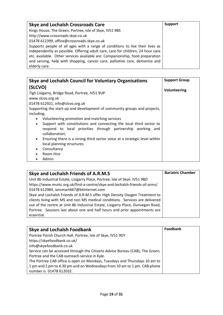| <b>Skye and Lochalsh Crossroads Care</b>                                        | <b>Support</b> |
|---------------------------------------------------------------------------------|----------------|
| Kings House, The Green, Portree, Isle of Skye, IV51 9BS                         |                |
| http://www.crossroads-skye.co.uk                                                |                |
| 01478 612399, office@crossroads-skye.co.uk                                      |                |
| Supports people of all ages with a range of conditions to live their lives as   |                |
| independently as possible. Offering adult care, care for children, 24 hour care |                |
| etc. available. Other services available are: Companionship, food preparation   |                |
| and serving, help with shopping, cancer care, palliative care, dementia and     |                |
| elderly care.                                                                   |                |

| Skye and Lochalsh Council for Voluntary Organisations                                                                                                                                                                                                                                                                                                                                                                                                                                                                                                                                     | <b>Support Group</b> |
|-------------------------------------------------------------------------------------------------------------------------------------------------------------------------------------------------------------------------------------------------------------------------------------------------------------------------------------------------------------------------------------------------------------------------------------------------------------------------------------------------------------------------------------------------------------------------------------------|----------------------|
| (SLCVO)<br>Tigh Lisigarry, Bridge Road, Portree, IV51 9UP<br>www.slcvo.org.uk<br>01478 612921, info@slcvo.org.uk<br>Supporting the start-up and development of community groups and projects,<br>including;<br>Volunteering promotion and matching services<br>Support with constitutions and connecting the local third sector to<br>٠<br>respond to local priorities through partnership working and<br>collaboration;<br>Ensuring there is a strong third sector voice at a strategic level within<br>$\bullet$<br>local planning structures<br>Consultancy<br>٠<br>Room Hire<br>Admin | Volunteering         |

| Skye and Lochalsh Friends of A.R.M.S                                            | <b>Bariatric Chamber</b> |
|---------------------------------------------------------------------------------|--------------------------|
| Unit 8b Industrial Estate, Lisigarry Place, Portree, Isle of Skye, IV51 9BD     |                          |
| https://www.msntc.org.uk/find-a-centre/skye-and-lochalsh-friends-of-arms/       |                          |
| 01478 612984, iansmart667@btinternet.com                                        |                          |
| Skye and Lochalsh Friends of A.R.M.S offer High Density Oxygen Treatment to     |                          |
| clients living with MS and non MS medical conditions. Services are delivered    |                          |
| out of the centre at Unit 8b Industrial Estate, Lisigarry Place, Dunvegan Road, |                          |
| Portree. Sessions last about one and half hours and prior appointments are      |                          |
| essential.                                                                      |                          |

| <b>Skye and Lochalsh Foodbank</b>                                            | Foodbank |
|------------------------------------------------------------------------------|----------|
| Portree Parish Church Hall, Portree, Isle of Skye, IV51 9DY                  |          |
| https://skyefoodbank.co.uk/                                                  |          |
| info@skyefoodbank.co.uk                                                      |          |
| Service can be accessed through the Citizens Advice Bureau (CAB), The Green, |          |
| Portree and the CAB outreach service in Kyle.                                |          |
| The Portree CAB office is open on Mondays, Tuesdays and Thursdays 10 am to   |          |
| 1 pm and 2 pm to 4.30 pm and on Wednesdays from 10 am to 1 pm. CAB phone     |          |
| number is 01478 612032.                                                      |          |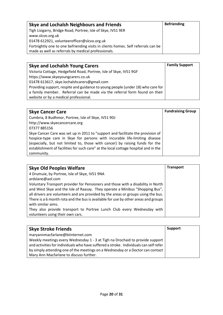| Skye and Lochalsh Neighbours and Friends                                          | <b>Befriending</b> |
|-----------------------------------------------------------------------------------|--------------------|
| Tigh Lisigarry, Bridge Road, Portree, Isle of Skye, IV51 9ER                      |                    |
| www.slcvo.org.uk                                                                  |                    |
| 01478 612921, volunteerofficer@slcvo.org.uk                                       |                    |
| Fortnightly one to one befriending visits in clients homes. Self referrals can be |                    |
| made as well as referrals by medical professionals.                               |                    |

| <b>Skye and Lochalsh Young Carers</b>                                           | <b>Family Support</b> |
|---------------------------------------------------------------------------------|-----------------------|
| Victoria Cottage, Hedgefield Road, Portree, Isle of Skye, IV51 9GF              |                       |
| https://www.skyeyoungcarers.co.uk                                               |                       |
| 01478 613617, skye.lochalshcarers@gmail.com                                     |                       |
| Providing support, respite and guidance to young people (under 18) who care for |                       |
| a family member. Referral can be made via the referral form found on their      |                       |
| website or by a medical professional.                                           |                       |

| <b>Skye Cancer Care</b>                                                             | <b>Fundraising Group</b> |
|-------------------------------------------------------------------------------------|--------------------------|
| Cumbria, 8 Budhmor, Portree, Isle of Skye, IV51 9DJ                                 |                          |
| http://www.skyecancercare.org                                                       |                          |
| 07377 885156                                                                        |                          |
| Skye Cancer Care was set up in 2011 to "support and facilitate the provision of     |                          |
| hospice-type care in Skye for persons with incurable life-limiting disease          |                          |
| (especially, but not limited to, those with cancer) by raising funds for the        |                          |
| establishment of facilities for such care" at the local cottage hospital and in the |                          |
| community.                                                                          |                          |

| <b>Skye Old Peoples Welfare</b>                                                                                                                                                                                                                                                                                                                                   | <b>Transport</b> |
|-------------------------------------------------------------------------------------------------------------------------------------------------------------------------------------------------------------------------------------------------------------------------------------------------------------------------------------------------------------------|------------------|
| 4 Drumuie, by Portree, Isle of Skye, IV51 9NA<br>ardslane@aol.com                                                                                                                                                                                                                                                                                                 |                  |
| Voluntary Transport provider for Pensioners and those with a disability in North<br>and West Skye and the Isle of Raasay. They operate a Minibus "Shopping Bus",<br>all drivers are volunteers and are provided by the areas or groups using the bus.<br>There is a 6 month rota and the bus is available for use by other areas and groups<br>with similar aims. |                  |
| They also provide transport to Portree Lunch Club every Wednesday with<br>volunteers using their own cars.                                                                                                                                                                                                                                                        |                  |

| <b>Skye Stroke Friends</b>                                                            | Support |
|---------------------------------------------------------------------------------------|---------|
| maryannmacfarlane@btinternet.com                                                      |         |
| Weekly meetings every Wednesday 1 - 3 at Tigh na Drochaid to provide support          |         |
| and activities for individuals who have suffered a stroke. Individuals can self refer |         |
| by simply attending one of the meetings on a Wednesday or a Doctor can contact        |         |
| Mary Ann Macfarlane to discuss further.                                               |         |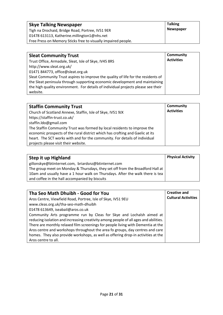| <b>Skye Talking Newspaper</b>                                 | <b>Talking</b>   |
|---------------------------------------------------------------|------------------|
| Tigh na Drochaid, Bridge Road, Portree, IV51 9ER              | <b>Newspaper</b> |
| 01478 613113, Katherine.millington1@nhs.net                   |                  |
| Free Press on Memory Sticks free to visually impaired people. |                  |

| <b>Sleat Community Trust</b>                                                      | Community         |
|-----------------------------------------------------------------------------------|-------------------|
| Trust Office, Armadale, Sleat, Isle of Skye, IV45 8RS                             | <b>Activities</b> |
| http://www.sleat.org.uk/                                                          |                   |
| 01471 844773, office@sleat.org.uk                                                 |                   |
| Sleat Community Trust aspires to improve the quality of life for the residents of |                   |
| the Sleat peninsula through supporting economic development and maintaining       |                   |
| the high quality environment. For details of individual projects please see their |                   |
| website.                                                                          |                   |

| <b>Staffin Community Trust</b><br>Church of Scotland Annexe, Staffin, Isle of Skye, IV51 9JX<br>https://staffin-trust.co.uk/<br>staffin.ldo@gmail.com<br>The Staffin Community Trust was formed by local residents to improve the<br>economic prospects of the rural district which has crofting and Gaelic at its<br>heart. The SCT works with and for the community. For details of individual<br>projects please visit their website. | <b>Community</b><br><b>Activities</b> |
|------------------------------------------------------------------------------------------------------------------------------------------------------------------------------------------------------------------------------------------------------------------------------------------------------------------------------------------------------------------------------------------------------------------------------------------|---------------------------------------|
|------------------------------------------------------------------------------------------------------------------------------------------------------------------------------------------------------------------------------------------------------------------------------------------------------------------------------------------------------------------------------------------------------------------------------------------|---------------------------------------|

| <b>Step it up Highland</b>                                                    | <b>Physical Activity</b> |
|-------------------------------------------------------------------------------|--------------------------|
| gillonskye@btinternet.com, briardsnz@btinternet.com                           |                          |
| The group meet on Monday & Thursdays, they set off from the Broadford Hall at |                          |
| 10am and usually have a 1 hour walk on Thursdays. After the walk there is tea |                          |
| and coffee in the hall accompanied by biscuits                                |                          |

| Tha Seo Math Dhuibh - Good for You                                                   | <b>Creative and</b>        |
|--------------------------------------------------------------------------------------|----------------------------|
| Aros Centre, Viewfield Road, Portree, Isle of Skye, IV51 9EU                         | <b>Cultural Activities</b> |
| www.cleas.org.uk/tha-seo-math-dhuibh                                                 |                            |
| 01478 613649, iseabail@aros.co.uk                                                    |                            |
| Community Arts programme run by Cleas for Skye and Lochalsh aimed at                 |                            |
| reducing isolation and increasing creativity among people of all ages and abilities. |                            |
| There are monthly relaxed film screenings for people living with Dementia at the     |                            |
| Aros centre and workshops throughout the area fo groups, day centres and care        |                            |
| homes. They also provide workshops, as well as offering drop-in activities at the    |                            |
| Aros centre to all.                                                                  |                            |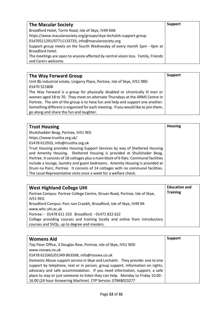| <b>The Macular Society</b>                                                       | <b>Support</b> |
|----------------------------------------------------------------------------------|----------------|
| Broadford Hotel, Torrin Road, Isle of Skye, IV49 9AB                             |                |
| https://www.macularsociety.org/groups/skye-lochalsh-support-group                |                |
| 01470511291/07711133733, info@macularsociety.org                                 |                |
| Support group meets on the fourth Wednesday of every month 2pm - 4pm at          |                |
| Broadford Hotel.                                                                 |                |
| The meetings are open to anyone affected by central vision loss. Family, Friends |                |
| and Carers welcome.                                                              |                |

| The Way Forward Group                                                              | Support |
|------------------------------------------------------------------------------------|---------|
| Unit 8b industrial estate, Lisigarry Place, Portree, Isle of Skye, IV51 9BD        |         |
| 01470 521808                                                                       |         |
| The Way Forward is a group for physically disabled or chronically ill men or       |         |
| women aged 18 to 70. They meet on alternate Thursdays at the ARMS Centre in        |         |
| Portree. The aim of the group is to have fun and help and support one another.     |         |
| Something different is organised for each meeting. If you would like to join them, |         |
| go along and share the fun and laughter.                                           |         |

| <b>Trust Housing</b>                                                                  | <b>Housing</b> |
|---------------------------------------------------------------------------------------|----------------|
| Shulishadder Beag, Portree, IV51 9EX                                                  |                |
| https://www.trustha.org.uk/                                                           |                |
| 01478 612933, info@trustha.org.uk                                                     |                |
| Trust Housing provides Housing Support Services by way of Sheltered Housing           |                |
| and Amenity Housing. Sheltered Housing is provided at Shulishader Beag,               |                |
| Portree. It consists of 18 cottages plus a main block of 6 flats. Communal facilities |                |
| include a lounge, laundry and guest bedrooms. Amenity Housing is provided at          |                |
| Drum na Pairc, Portree. It consists of 14 cottages with no communal facilities.       |                |
| The Local Representative visits once a week for a welfare check.                      |                |

| <b>West Highland College UHI</b>                                            | <b>Education and</b> |
|-----------------------------------------------------------------------------|----------------------|
| Portree Campus: Portree College Centre, Struan Road, Portree, Isle of Skye, | <b>Training</b>      |
| <b>IV51 9EG</b>                                                             |                      |
| Broadford Campus: Parc nan Craobh, Broadford, Isle of Skye, IV49 9A         |                      |
| www.whc.uhi.ac.uk                                                           |                      |
| Portree: - 01478 611 310 Broadford: - 01471 822 622                         |                      |
| College providing courses and training locally and online from introductory |                      |
| courses and SVQs, up to degree and masters.                                 |                      |

| <b>Womens Aid</b>                                                               | <b>Support</b> |
|---------------------------------------------------------------------------------|----------------|
| Top Floor Office, 3 Douglas Row, Portree, Isle of Skye, IV51 9DD                |                |
| www.rosswa.co.uk                                                                |                |
| 01478 613365/01349 863568, info@rosswa.co.uk                                    |                |
| Domestic Abuse support service in Skye and Lochalsh. They provide: one to one   |                |
| support by telephone, text or in person, group support, information on rights,  |                |
| advocacy and safe accommodation. If you need information, support, a safe       |                |
| place to stay or just someone to listen they can help. Monday to Friday 10.00 - |                |
| 16.00 (24 hour Answering Machine) CYP Service: 07848023277                      |                |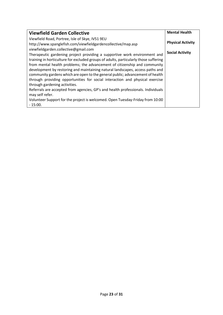| <b>Viewfield Garden Collective</b>                                                   | <b>Mental Health</b>     |
|--------------------------------------------------------------------------------------|--------------------------|
| Viewfield Road, Portree, Isle of Skye, IV51 9EU                                      |                          |
| http://www.spanglefish.com/viewfieldgardencollective/map.asp                         | <b>Physical Activity</b> |
| viewfieldgarden.collective@gmail.com                                                 |                          |
| Therapeutic gardening project providing a supportive work environment and            | <b>Social Activity</b>   |
| training in horticulture for excluded groups of adults, particularly those suffering |                          |
| from mental health problems; the advancement of citizenship and community            |                          |
| development by restoring and maintaining natural landscapes, access paths and        |                          |
| community gardens which are open to the general public; advancement of health        |                          |
| through providing opportunities for social interaction and physical exercise         |                          |
| through gardening activities.                                                        |                          |
| Referrals are accepted from agencies, GP's and health professionals. Individuals     |                          |
| may self refer.                                                                      |                          |
| Volunteer Support for the project is welcomed. Open Tuesday-Friday from 10:00        |                          |
| $-15:00.$                                                                            |                          |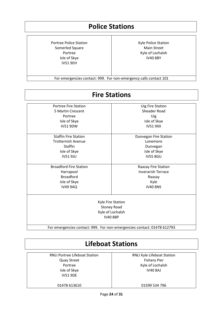#### **Police Stations**

Portree Police Station Somerled Square Portree Isle of Skye IV51 9EH

Kyle Police Station Main Street Kyle of Lochalsh IV40 8BY

For emergencies contact: 999. For non-emergency calls contact 101

| <b>Portree Fire Station</b>   | <b>Uig Fire Station</b>      |
|-------------------------------|------------------------------|
| 5 Martin Crescent             | <b>Sheader Road</b>          |
| Portree                       | Uig                          |
| Isle of Skye                  | Isle of Skye                 |
| <b>IV51 9DW</b>               | <b>IV51 9XX</b>              |
| <b>Staffin Fire Station</b>   | <b>Dunvegan Fire Station</b> |
| <b>Trotternish Avenue</b>     | Lonemore                     |
| <b>Staffin</b>                | Dunvegan                     |
| Isle of Skye                  | Isle of Skye                 |
| <b>IV51 9JU</b>               | <b>IV55 8GU</b>              |
| <b>Broadford Fire Station</b> | Raasay Fire Station          |
| Harrapool                     | <b>Inverarish Terrace</b>    |
| <b>Broadford</b>              | Raasay                       |
| Isle of Skye                  | Kyle                         |
| <b>IV49 9AQ</b>               | <b>IV40 8NS</b>              |
|                               | Kyle Fire Station            |
|                               | <b>Stoney Road</b>           |
|                               | Kyle of Lochalsh             |
|                               | <b>IV40 8BP</b>              |

#### **Lifeboat Stations**

RNLI Portree Lifeboat Station Quay Street Portree Isle of Skye IV51 9DE

RNLI Kyle Lifeboat Station Fishery Pier Kyle of Lochalsh IV40 8AJ

01478 613610

01599 534 796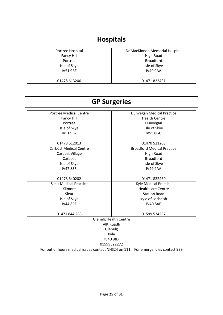#### **Hospitals** Portree Hospital Fancy Hill Portree Isle of Skye IV51 9BZ 01478 613200 Dr MacKinnon Memorial Hospital High Road Broadford Isle of Skye IV49 9AA 01471 822491

| <b>GP Surgeries</b>                                                               |                                   |  |
|-----------------------------------------------------------------------------------|-----------------------------------|--|
| <b>Portree Medical Centre</b>                                                     | <b>Dunvegan Medical Practice</b>  |  |
| <b>Fancy Hill</b>                                                                 | <b>Health Centre</b>              |  |
| Portree                                                                           | Dunvegan                          |  |
| Isle of Skye                                                                      | Isle of Skye                      |  |
| <b>IV519BZ</b>                                                                    | <b>IV55 8GU</b>                   |  |
| 01478 612013                                                                      | 01470 521203                      |  |
| <b>Carbost Medical Centre</b>                                                     | <b>Broadford Medical Practice</b> |  |
| Carbost Village                                                                   | <b>High Road</b>                  |  |
| Carbost                                                                           | <b>Broadford</b>                  |  |
| Isle of Skye                                                                      | Isle of Skye                      |  |
| <b>IV47 8SR</b>                                                                   | <b>IV49 9AA</b>                   |  |
| 01478 640202                                                                      | 01471 822460                      |  |
| <b>Sleat Medical Practice</b>                                                     | <b>Kyle Medical Practice</b>      |  |
| Kilmore                                                                           | <b>Healthcare Centre</b>          |  |
| Sleat                                                                             | <b>Station Road</b>               |  |
| Isle of Skye                                                                      | Kyle of Lochalsh                  |  |
| <b>IV44 8RF</b>                                                                   | <b>IV40 8AE</b>                   |  |
| 01471 844 283                                                                     | 01599 534257                      |  |
| <b>Glenelg Health Centre</b>                                                      |                                   |  |
| Allt Ruadh                                                                        |                                   |  |
| Glenelg                                                                           |                                   |  |
| Kyle                                                                              |                                   |  |
| <b>IV40 8JD</b>                                                                   |                                   |  |
| 01599522272                                                                       |                                   |  |
| For out of hours medical issues contact NHS24 on 111. For emergencies contact 999 |                                   |  |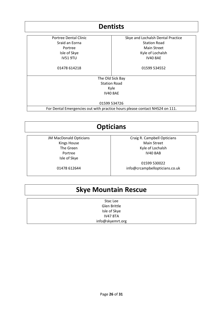| <b>Dentists</b>       |                                                                             |
|-----------------------|-----------------------------------------------------------------------------|
| Portree Dental Clinic | Skye and Lochalsh Dental Practice                                           |
| Sraid an Eorna        | <b>Station Road</b>                                                         |
| Portree               | <b>Main Street</b>                                                          |
| Isle of Skye          | Kyle of Lochalsh                                                            |
| <b>IV51 9TU</b>       | <b>IV40 8AE</b>                                                             |
| 01478 614218          | 01599 534552                                                                |
|                       | The Old Sick Bay                                                            |
|                       | <b>Station Road</b>                                                         |
|                       | Kyle                                                                        |
|                       | <b>IV40 8AE</b>                                                             |
|                       | 01599 534726                                                                |
|                       | For Dental Emergencies out with practice hours please contact NHS24 on 111. |

#### **Opticians**

JM MacDonald Opticians Kings House The Green Portree Isle of Skye

Craig R. Campbell Opticians Main Street Kyle of Lochalsh IV40 8AB

01478 612644

01599 530022 info@crcampbellopticians.co.uk

#### **Skye Mountain Rescue**

Stac Lee Glen Brittle Isle of Skye IV47 8TA [info@skyemrt.org](mailto:info@skyemrt.org?subject=General%20Enquiry%20for%20Skye%20MRT)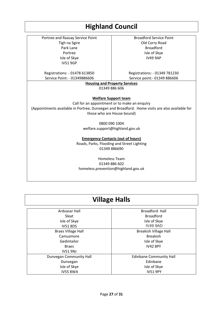#### **Highland Council**

Portree and Raasay Service Point Tigh na Sgire Park Lane Portree Isle of Skye IV51 9GP

Broadford Service Point Old Corry Road Broadford Isle of Skye IV49 9AP

Registrations: - 01478 613850 Service Point: - 01349886606

Registrations: - 01349 781230 Service point:- 01349 886606

**Housing and Property Services** 01349 886 606

**Welfare Support team**

Call for an appointment or to make an enquiry (Appointments available in Portree, Dunvegan and Broadford. Home visits are also available for those who are House bound)

0800 090 1004

welfare.support@highland.gov.uk

**Emergency Contacts (out of hours)**

Roads, Parks, Flooding and Street Lighting 01349 886690

Homeless Team 01349 886 602 [homeless.prevention@highland.gov.uk](mailto:homeless.prevention@highland.gov.uk)

#### **Village Halls**

| Ardvasar Hall             | <b>Broadford Hall</b>          |
|---------------------------|--------------------------------|
| Sleat                     | <b>Broadford</b>               |
| Isle of Skye              | Isle of Skye                   |
| <b>IV51 8DS</b>           | <b>IV49 9AD</b>                |
| <b>Braes Village Hall</b> | <b>Breakish Village Hall</b>   |
| Camusmore                 | <b>Breakish</b>                |
| Gedintailor               | Isle of Skye                   |
| <b>Braes</b>              | <b>IV42 8PY</b>                |
| <b>IV51 9NJ</b>           |                                |
| Dunvegan Community Hall   | <b>Edinbane Community Hall</b> |
| Dunvegan                  | Edinbane                       |
| Isle of Skye              | Isle of Skye                   |
| <b>IV55 8WA</b>           | <b>IV51 9PY</b>                |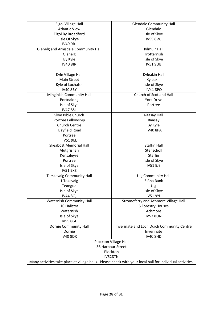| Elgol Village Hall                                                                                        | <b>Glendale Community Hall</b>             |
|-----------------------------------------------------------------------------------------------------------|--------------------------------------------|
| <b>Atlantic View</b>                                                                                      | Glendale                                   |
| Elgol By Broadford                                                                                        | Isle of Skye                               |
| Isle Of Skye                                                                                              | <b>IV55 8WJ</b>                            |
| <b>IV49 9BJ</b>                                                                                           |                                            |
| Glenelg and Arnisdale Community Hall                                                                      | <b>Kilmuir Hall</b>                        |
| Glenelg                                                                                                   | Trotternish                                |
| By Kyle                                                                                                   | Isle of Skye                               |
| <b>IV40 8JR</b>                                                                                           | <b>IV51 9UB</b>                            |
|                                                                                                           |                                            |
| Kyle Village Hall                                                                                         | Kyleakin Hall                              |
| <b>Main Street</b>                                                                                        | Kyleakin                                   |
| Kyle of Lochalsh                                                                                          | Isle of Skye                               |
| <b>IV40 8BY</b>                                                                                           | <b>IV41 8PQ</b>                            |
| Minginish Community Hall                                                                                  | Church of Scotland Hall                    |
| Portnalong                                                                                                | <b>York Drive</b>                          |
| Isle of Skye                                                                                              | Portree                                    |
| <b>IV47 8SL</b>                                                                                           |                                            |
| Skye Bible Church                                                                                         | Raasay Hall                                |
| Portree Fellowship                                                                                        | Raasay                                     |
| <b>Church Centre</b>                                                                                      | By Kyle                                    |
| Bayfield Road                                                                                             | <b>IV40 8PA</b>                            |
| Portree                                                                                                   |                                            |
| <b>IV51 9EL</b>                                                                                           |                                            |
| <b>Skeabost Memorial Hall</b>                                                                             | <b>Staffin Hall</b>                        |
| Alutgrishan                                                                                               | Stenscholl                                 |
| Kensaleyre                                                                                                | <b>Staffin</b>                             |
| Portree                                                                                                   | Isle of Skye                               |
| Isle of Skye                                                                                              | <b>IV51 9JS</b>                            |
| <b>IV51 9XE</b>                                                                                           |                                            |
| <b>Tarskavaig Community Hall</b>                                                                          | <b>Uig Community Hall</b>                  |
| 1 Tokavaig                                                                                                | 5 Rha Bank                                 |
| Teangue                                                                                                   | Uig                                        |
| Isle of Skye                                                                                              | Isle of Skye                               |
| <b>IV44 8QI</b>                                                                                           | <b>IV51 9YL</b>                            |
| <b>Waternish Community Hall</b>                                                                           | Stromeferry and Achmore Village Hall       |
| 10 Halistra                                                                                               | 6 Forestry Houses                          |
| Waternish                                                                                                 | Achmore                                    |
| Isle of Skye                                                                                              | <b>IV53 8UN</b>                            |
| <b>IV55 8GL</b>                                                                                           |                                            |
| Dornie Community Hall                                                                                     | Inverinate and Loch Duich Community Centre |
| Dornie                                                                                                    | Inverinate                                 |
| <b>IV40 8DR</b>                                                                                           | <b>IV40 8HD</b>                            |
| Plockton Village Hall                                                                                     |                                            |
| 36 Harbour Street                                                                                         |                                            |
| Plockton                                                                                                  |                                            |
| IV528TN                                                                                                   |                                            |
| Many activities take place at village halls. Please check with your local hall for individual activities. |                                            |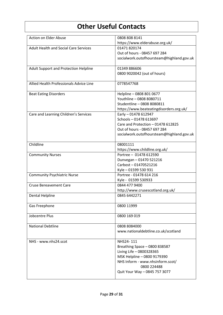### **Other Useful Contacts**

| <b>Action on Elder Abuse</b>                 | 0808 808 8141                             |
|----------------------------------------------|-------------------------------------------|
|                                              | https://www.elderabuse.org.uk/            |
| <b>Adult Health and Social Care Services</b> | 01471 820174                              |
|                                              | Out of hours - 08457 697 284              |
|                                              | socialwork.outofhoursteam@highland.gov.uk |
| Adult Support and Protection Helpline        | 01349 886606                              |
|                                              | 0800 9020042 (out of hours)               |
| Allied Health Professionals Advice Line      | 0778547768                                |
| <b>Beat Eating Disorders</b>                 | Helpline - 0808 801 0677                  |
|                                              | Youthline - 0808 8080711                  |
|                                              | Studentline - 0808 8080811                |
|                                              | https://www.beateatingdisorders.org.uk/   |
| Care and Learning Children's Services        | Early - 01478 612947                      |
|                                              | Schools-01478 613697                      |
|                                              | Care and Protection - 01478 612825        |
|                                              | Out of hours - 08457 697 284              |
|                                              | socialwork.outofhoursteam@highland.gov.uk |
| Childline                                    | 08001111                                  |
|                                              | https://www.childline.org.uk/             |
| <b>Community Nurses</b>                      | Portree - 01478 612590                    |
|                                              | Dunvegan - 01470 521216                   |
|                                              | Carbost-01470521216                       |
|                                              | Kyle - 01599 530 931                      |
| <b>Community Psychiatric Nurse</b>           | Portree - 01478 614 216                   |
|                                              | Kyle - 01599 530933                       |
| <b>Cruse Bereavement Care</b>                | 0844 477 9400                             |
|                                              | http://www.crusescotland.org.uk/          |
| Dental Helpline                              | 0845 6442271                              |
| Gas Freephone                                | 0800 11999                                |
| Jobcentre Plus                               | 0800 169 019                              |
| <b>National Debtline</b>                     | 0808 8084000                              |
|                                              | www.nationaldebtline.co.uk/scotland       |
| NHS - www.nhs24.scot                         | NHS24-111                                 |
|                                              | Breathing Space - 0800 838587             |
|                                              | Living Life - 0800328365                  |
|                                              | MSK Helpline - 0800 9179390               |
|                                              | NHS Inform - www.nhsinform.scot/          |
|                                              | 0800 224488                               |
|                                              | Quit Your Way - 0845 757 3077             |
|                                              |                                           |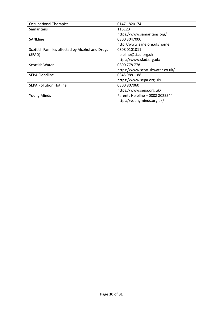| <b>Occupational Therapist</b>                   | 01471 820174                     |
|-------------------------------------------------|----------------------------------|
| Samaritans                                      | 116123                           |
|                                                 | https://www.samaritans.org/      |
| <b>SANEline</b>                                 | 0300 3047000                     |
|                                                 | http://www.sane.org.uk/home      |
| Scottish Families affected by Alcohol and Drugs | 0808 0101011                     |
| (SFAD)                                          | helpline@sfad.org.uk             |
|                                                 | https://www.sfad.org.uk/         |
| Scottish Water                                  | 0800 778 778                     |
|                                                 | https://www.scottishwater.co.uk/ |
| <b>SEPA Floodline</b>                           | 0345 9881188                     |
|                                                 | https://www.sepa.org.uk/         |
| <b>SEPA Pollution Hotline</b>                   | 0800 807060                      |
|                                                 | https://www.sepa.org.uk/         |
| <b>Young Minds</b>                              | Parents Helpline - 0808 8025544  |
|                                                 | https://youngminds.org.uk/       |